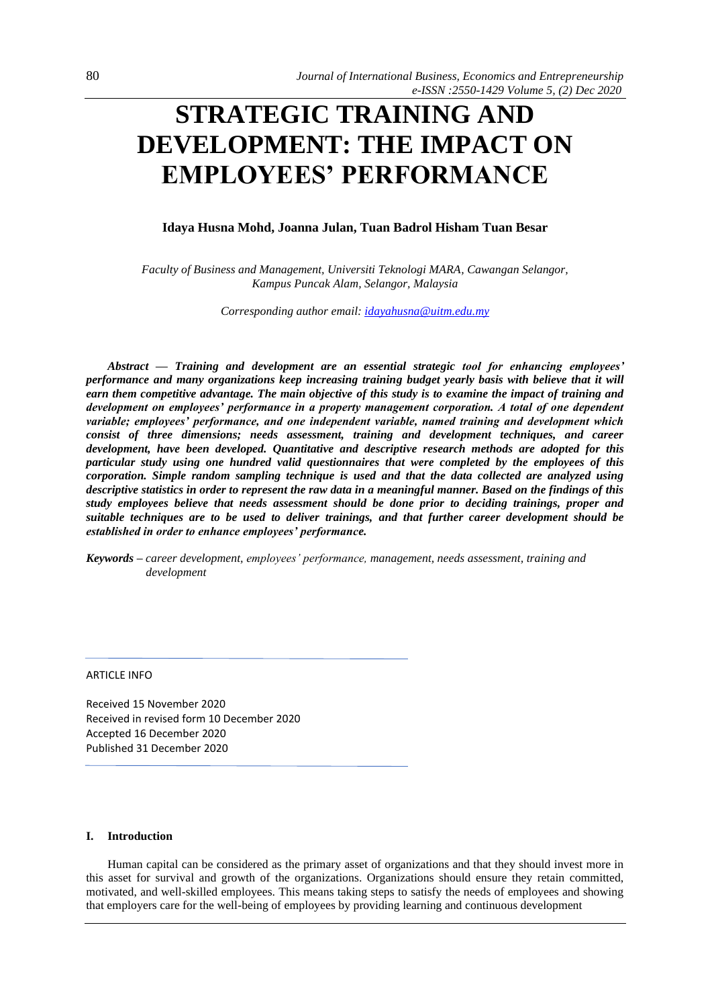# **STRATEGIC TRAINING AND DEVELOPMENT: THE IMPACT ON EMPLOYEES' PERFORMANCE**

## **Idaya Husna Mohd, Joanna Julan, Tuan Badrol Hisham Tuan Besar**

*Faculty of Business and Management, Universiti Teknologi MARA, Cawangan Selangor, Kampus Puncak Alam, Selangor, Malaysia*

*Corresponding author email: [idayahusna@uitm.edu.my](mailto:idayahusna@uitm.edu.my)*

*Abstract — Training and development are an essential strategic tool for enhancing employees' performance and many organizations keep increasing training budget yearly basis with believe that it will earn them competitive advantage. The main objective of this study is to examine the impact of training and development on employees' performance in a property management corporation. A total of one dependent variable; employees' performance, and one independent variable, named training and development which consist of three dimensions; needs assessment, training and development techniques, and career development, have been developed. Quantitative and descriptive research methods are adopted for this particular study using one hundred valid questionnaires that were completed by the employees of this corporation. Simple random sampling technique is used and that the data collected are analyzed using descriptive statistics in order to represent the raw data in a meaningful manner. Based on the findings of this study employees believe that needs assessment should be done prior to deciding trainings, proper and suitable techniques are to be used to deliver trainings, and that further career development should be established in order to enhance employees' performance.*

*Keywords – career development, employees' performance, management, needs assessment, training and development*

ARTICLE INFO

Received 15 November 2020 Received in revised form 10 December 2020 Accepted 16 December 2020 Published 31 December 2020

## **I. Introduction**

Human capital can be considered as the primary asset of organizations and that they should invest more in this asset for survival and growth of the organizations. Organizations should ensure they retain committed, motivated, and well-skilled employees. This means taking steps to satisfy the needs of employees and showing that employers care for the well-being of employees by providing learning and continuous development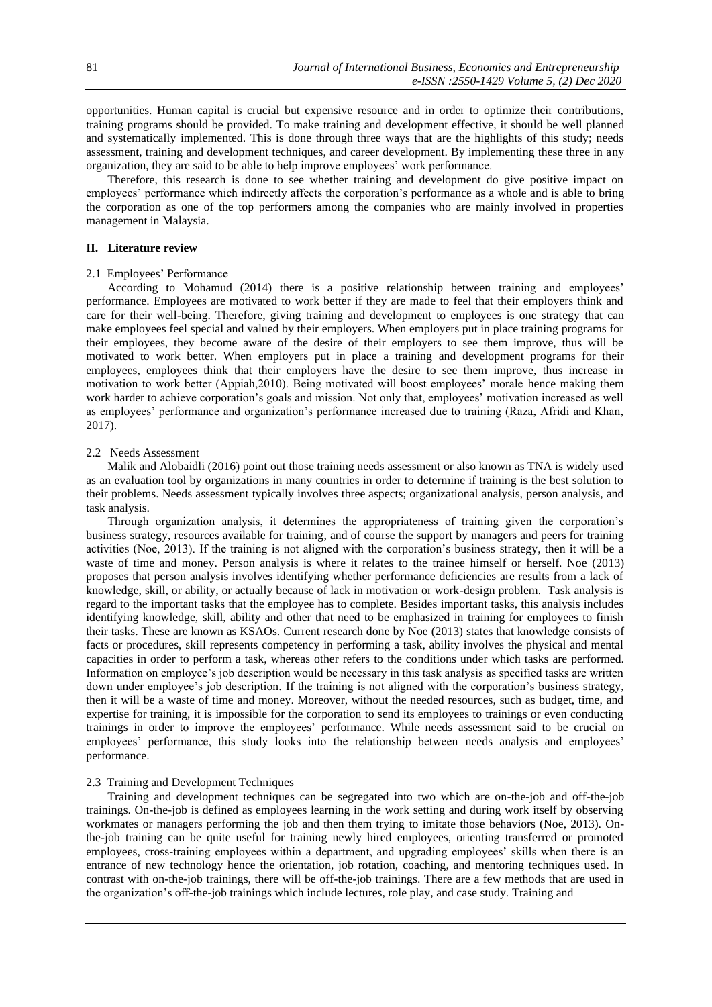opportunities. Human capital is crucial but expensive resource and in order to optimize their contributions, training programs should be provided. To make training and development effective, it should be well planned and systematically implemented. This is done through three ways that are the highlights of this study; needs assessment, training and development techniques, and career development. By implementing these three in any organization, they are said to be able to help improve employees' work performance.

Therefore, this research is done to see whether training and development do give positive impact on employees' performance which indirectly affects the corporation's performance as a whole and is able to bring the corporation as one of the top performers among the companies who are mainly involved in properties management in Malaysia.

### **II. Literature review**

### 2.1 Employees' Performance

According to Mohamud (2014) there is a positive relationship between training and employees' performance. Employees are motivated to work better if they are made to feel that their employers think and care for their well-being. Therefore, giving training and development to employees is one strategy that can make employees feel special and valued by their employers. When employers put in place training programs for their employees, they become aware of the desire of their employers to see them improve, thus will be motivated to work better. When employers put in place a training and development programs for their employees, employees think that their employers have the desire to see them improve, thus increase in motivation to work better (Appiah,2010). Being motivated will boost employees' morale hence making them work harder to achieve corporation's goals and mission. Not only that, employees' motivation increased as well as employees' performance and organization's performance increased due to training (Raza, Afridi and Khan, 2017).

#### 2.2 Needs Assessment

Malik and Alobaidli (2016) point out those training needs assessment or also known as TNA is widely used as an evaluation tool by organizations in many countries in order to determine if training is the best solution to their problems. Needs assessment typically involves three aspects; organizational analysis, person analysis, and task analysis.

Through organization analysis, it determines the appropriateness of training given the corporation's business strategy, resources available for training, and of course the support by managers and peers for training activities (Noe, 2013). If the training is not aligned with the corporation's business strategy, then it will be a waste of time and money. Person analysis is where it relates to the trainee himself or herself. Noe (2013) proposes that person analysis involves identifying whether performance deficiencies are results from a lack of knowledge, skill, or ability, or actually because of lack in motivation or work-design problem. Task analysis is regard to the important tasks that the employee has to complete. Besides important tasks, this analysis includes identifying knowledge, skill, ability and other that need to be emphasized in training for employees to finish their tasks. These are known as KSAOs. Current research done by Noe (2013) states that knowledge consists of facts or procedures, skill represents competency in performing a task, ability involves the physical and mental capacities in order to perform a task, whereas other refers to the conditions under which tasks are performed. Information on employee's job description would be necessary in this task analysis as specified tasks are written down under employee's job description. If the training is not aligned with the corporation's business strategy, then it will be a waste of time and money. Moreover, without the needed resources, such as budget, time, and expertise for training, it is impossible for the corporation to send its employees to trainings or even conducting trainings in order to improve the employees' performance. While needs assessment said to be crucial on employees' performance, this study looks into the relationship between needs analysis and employees' performance.

## 2.3 Training and Development Techniques

Training and development techniques can be segregated into two which are on-the-job and off-the-job trainings. On-the-job is defined as employees learning in the work setting and during work itself by observing workmates or managers performing the job and then them trying to imitate those behaviors (Noe, 2013). Onthe-job training can be quite useful for training newly hired employees, orienting transferred or promoted employees, cross-training employees within a department, and upgrading employees' skills when there is an entrance of new technology hence the orientation, job rotation, coaching, and mentoring techniques used. In contrast with on-the-job trainings, there will be off-the-job trainings. There are a few methods that are used in the organization's off-the-job trainings which include lectures, role play, and case study. Training and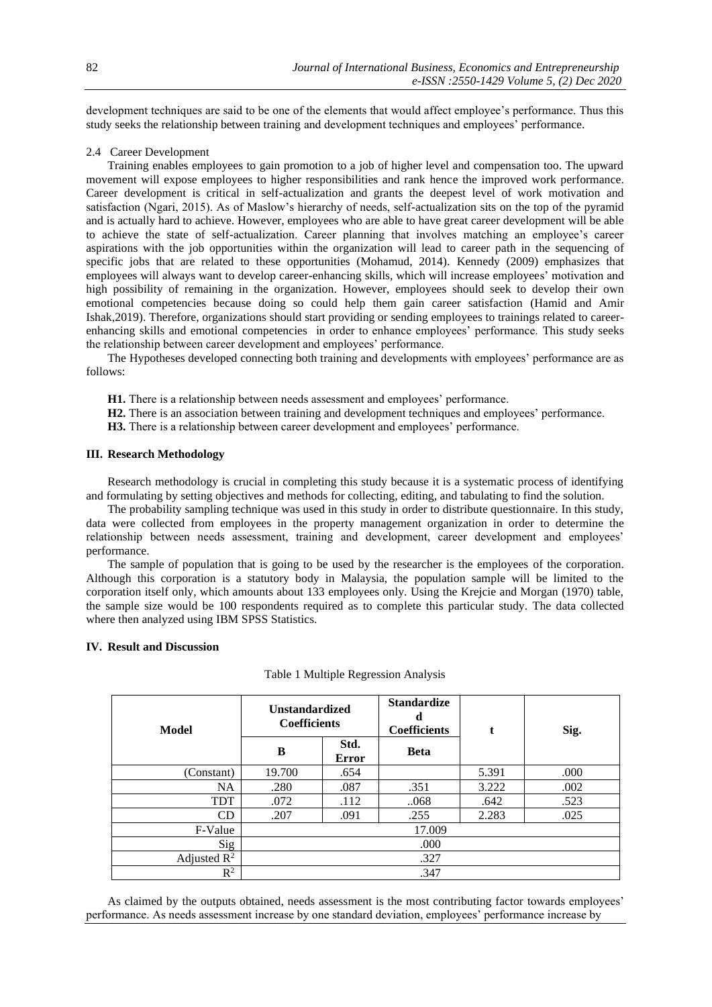development techniques are said to be one of the elements that would affect employee's performance. Thus this study seeks the relationship between training and development techniques and employees' performance.

## 2.4 Career Development

Training enables employees to gain promotion to a job of higher level and compensation too. The upward movement will expose employees to higher responsibilities and rank hence the improved work performance. Career development is critical in self-actualization and grants the deepest level of work motivation and satisfaction (Ngari, 2015). As of Maslow's hierarchy of needs, self-actualization sits on the top of the pyramid and is actually hard to achieve. However, employees who are able to have great career development will be able to achieve the state of self-actualization. Career planning that involves matching an employee's career aspirations with the job opportunities within the organization will lead to career path in the sequencing of specific jobs that are related to these opportunities (Mohamud, 2014). Kennedy (2009) emphasizes that employees will always want to develop career-enhancing skills, which will increase employees' motivation and high possibility of remaining in the organization. However, employees should seek to develop their own emotional competencies because doing so could help them gain career satisfaction (Hamid and Amir Ishak,2019). Therefore, organizations should start providing or sending employees to trainings related to careerenhancing skills and emotional competencies in order to enhance employees' performance. This study seeks the relationship between career development and employees' performance.

The Hypotheses developed connecting both training and developments with employees' performance are as follows:

- **H1.** There is a relationship between needs assessment and employees' performance.
- **H2.** There is an association between training and development techniques and employees' performance.
- **H3.** There is a relationship between career development and employees' performance.

#### **III. Research Methodology**

Research methodology is crucial in completing this study because it is a systematic process of identifying and formulating by setting objectives and methods for collecting, editing, and tabulating to find the solution.

The probability sampling technique was used in this study in order to distribute questionnaire. In this study, data were collected from employees in the property management organization in order to determine the relationship between needs assessment, training and development, career development and employees' performance.

The sample of population that is going to be used by the researcher is the employees of the corporation. Although this corporation is a statutory body in Malaysia, the population sample will be limited to the corporation itself only, which amounts about 133 employees only. Using the Krejcie and Morgan (1970) table, the sample size would be 100 respondents required as to complete this particular study. The data collected where then analyzed using IBM SPSS Statistics.

## **IV. Result and Discussion**

| Model          | <b>Unstandardized</b><br><b>Coefficients</b> |                      | <b>Standardize</b><br>d<br><b>Coefficients</b> | t     | Sig. |
|----------------|----------------------------------------------|----------------------|------------------------------------------------|-------|------|
|                | B                                            | Std.<br><b>Error</b> | <b>Beta</b>                                    |       |      |
| (Constant)     | 19.700                                       | .654                 |                                                | 5.391 | .000 |
| <b>NA</b>      | .280                                         | .087                 | .351                                           | 3.222 | .002 |
| <b>TDT</b>     | .072                                         | .112                 | .068                                           | .642  | .523 |
| CD             | .207                                         | .091                 | .255                                           | 2.283 | .025 |
| F-Value        | 17.009                                       |                      |                                                |       |      |
| Sig            | .000                                         |                      |                                                |       |      |
| Adjusted $R^2$ | .327                                         |                      |                                                |       |      |
| $\mathbb{R}^2$ | .347                                         |                      |                                                |       |      |

Table 1 Multiple Regression Analysis

As claimed by the outputs obtained, needs assessment is the most contributing factor towards employees' performance. As needs assessment increase by one standard deviation, employees' performance increase by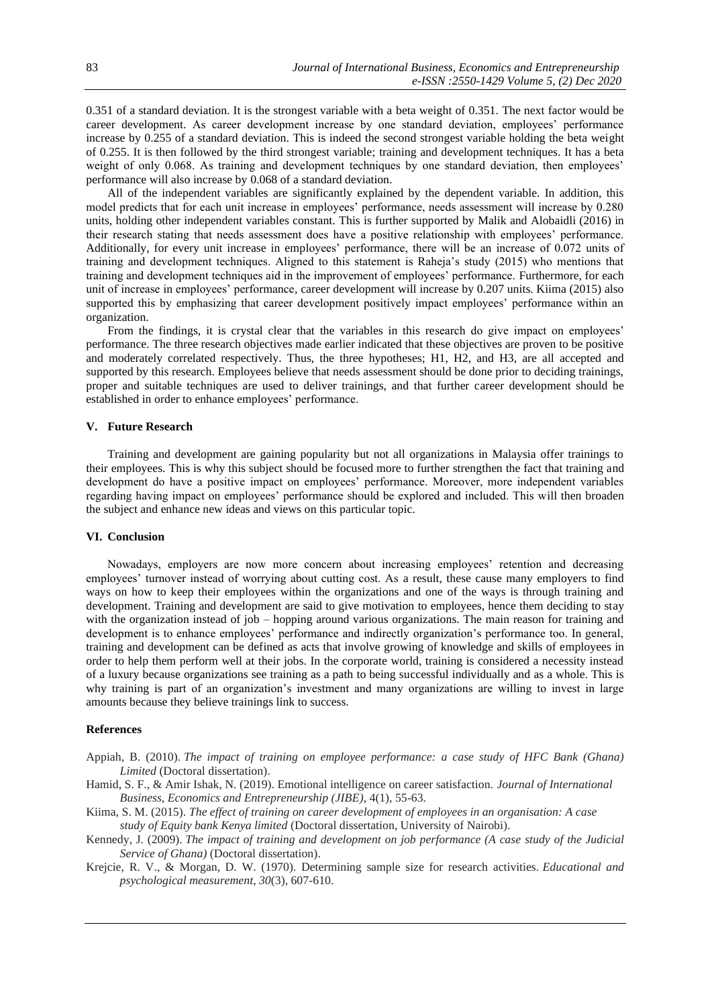0.351 of a standard deviation. It is the strongest variable with a beta weight of 0.351. The next factor would be career development. As career development increase by one standard deviation, employees' performance increase by 0.255 of a standard deviation. This is indeed the second strongest variable holding the beta weight of 0.255. It is then followed by the third strongest variable; training and development techniques. It has a beta weight of only 0.068. As training and development techniques by one standard deviation, then employees' performance will also increase by 0.068 of a standard deviation.

All of the independent variables are significantly explained by the dependent variable. In addition, this model predicts that for each unit increase in employees' performance, needs assessment will increase by 0.280 units, holding other independent variables constant. This is further supported by Malik and Alobaidli (2016) in their research stating that needs assessment does have a positive relationship with employees' performance. Additionally, for every unit increase in employees' performance, there will be an increase of 0.072 units of training and development techniques. Aligned to this statement is Raheja's study (2015) who mentions that training and development techniques aid in the improvement of employees' performance. Furthermore, for each unit of increase in employees' performance, career development will increase by 0.207 units. Kiima (2015) also supported this by emphasizing that career development positively impact employees' performance within an organization.

From the findings, it is crystal clear that the variables in this research do give impact on employees' performance. The three research objectives made earlier indicated that these objectives are proven to be positive and moderately correlated respectively. Thus, the three hypotheses; H1, H2, and H3, are all accepted and supported by this research. Employees believe that needs assessment should be done prior to deciding trainings, proper and suitable techniques are used to deliver trainings, and that further career development should be established in order to enhance employees' performance.

## **V. Future Research**

Training and development are gaining popularity but not all organizations in Malaysia offer trainings to their employees. This is why this subject should be focused more to further strengthen the fact that training and development do have a positive impact on employees' performance. Moreover, more independent variables regarding having impact on employees' performance should be explored and included. This will then broaden the subject and enhance new ideas and views on this particular topic.

#### **VI. Conclusion**

Nowadays, employers are now more concern about increasing employees' retention and decreasing employees' turnover instead of worrying about cutting cost. As a result, these cause many employers to find ways on how to keep their employees within the organizations and one of the ways is through training and development. Training and development are said to give motivation to employees, hence them deciding to stay with the organization instead of job – hopping around various organizations. The main reason for training and development is to enhance employees' performance and indirectly organization's performance too. In general, training and development can be defined as acts that involve growing of knowledge and skills of employees in order to help them perform well at their jobs. In the corporate world, training is considered a necessity instead of a luxury because organizations see training as a path to being successful individually and as a whole. This is why training is part of an organization's investment and many organizations are willing to invest in large amounts because they believe trainings link to success.

#### **References**

- Appiah, B. (2010). *The impact of training on employee performance: a case study of HFC Bank (Ghana) Limited* (Doctoral dissertation).
- Hamid, S. F., & Amir Ishak, N. (2019). Emotional intelligence on career satisfaction. *Journal of International Business, Economics and Entrepreneurship (JIBE)*, 4(1), 55-63.
- Kiima, S. M. (2015). *The effect of training on career development of employees in an organisation: A case study of Equity bank Kenya limited* (Doctoral dissertation, University of Nairobi).
- Kennedy, J. (2009). *The impact of training and development on job performance (A case study of the Judicial Service of Ghana)* (Doctoral dissertation).
- Krejcie, R. V., & Morgan, D. W. (1970). Determining sample size for research activities. *Educational and psychological measurement*, *30*(3), 607-610.